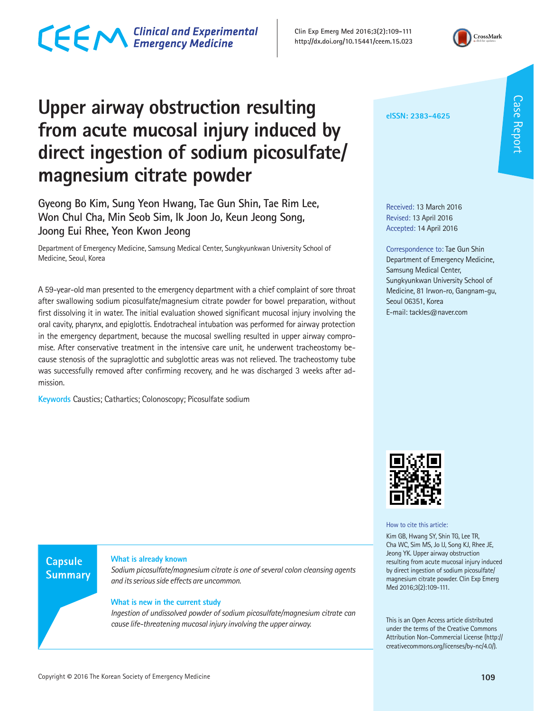## CECM Clinical and Experimental

**Clin Exp Emerg Med 2016;3(2):109-111 http://dx.doi.org/10.15441/ceem.15.023** 



Case Report

**Case Report** 

### **Upper airway obstruction resulting from acute mucosal injury induced by direct ingestion of sodium picosulfate/ magnesium citrate powder**

**Gyeong Bo Kim, Sung Yeon Hwang, Tae Gun Shin, Tae Rim Lee, Won Chul Cha, Min Seob Sim, Ik Joon Jo, Keun Jeong Song, Joong Eui Rhee, Yeon Kwon Jeong**

Department of Emergency Medicine, Samsung Medical Center, Sungkyunkwan University School of Medicine, Seoul, Korea

A 59-year-old man presented to the emergency department with a chief complaint of sore throat after swallowing sodium picosulfate/magnesium citrate powder for bowel preparation, without first dissolving it in water. The initial evaluation showed significant mucosal injury involving the oral cavity, pharynx, and epiglottis. Endotracheal intubation was performed for airway protection in the emergency department, because the mucosal swelling resulted in upper airway compromise. After conservative treatment in the intensive care unit, he underwent tracheostomy because stenosis of the supraglottic and subglottic areas was not relieved. The tracheostomy tube was successfully removed after confirming recovery, and he was discharged 3 weeks after admission.

**Keywords** Caustics; Cathartics; Colonoscopy; Picosulfate sodium

**eISSN: 2383-4625**

Received: 13 March 2016 Revised: 13 April 2016 Accepted: 14 April 2016

Correspondence to: Tae Gun Shin Department of Emergency Medicine, Samsung Medical Center, Sungkyunkwan University School of Medicine, 81 Irwon-ro, Gangnam-gu, Seoul 06351, Korea E-mail: tackles@naver.com



How to cite this article:

Kim GB, Hwang SY, Shin TG, Lee TR, Cha WC, Sim MS, Jo IJ, Song KJ, Rhee JE, Jeong YK. Upper airway obstruction resulting from acute mucosal injury induced by direct ingestion of sodium picosulfate/ magnesium citrate powder. Clin Exp Emerg Med 2016;3(2):109-111.

This is an Open Access article distributed under the terms of the Creative Commons Attribution Non-Commercial License (http:// creativecommons.org/licenses/by-nc/4.0/).

#### **Capsule Summary**

#### **What is already known**

*Sodium picosulfate/magnesium citrate is one of several colon cleansing agents and its serious side effects are uncommon.*

#### **What is new in the current study**

*Ingestion of undissolved powder of sodium picosulfate/magnesium citrate can cause life-threatening mucosal injury involving the upper airway.*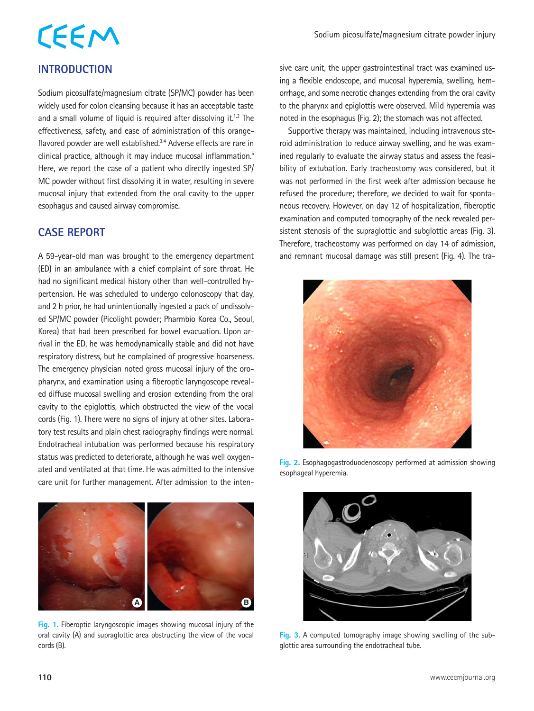# **CEEM**

#### **INTRODUCTION**

Sodium picosulfate/magnesium citrate (SP/MC) powder has been widely used for colon cleansing because it has an acceptable taste and a small volume of liquid is required after dissolving it.<sup>1,2</sup> The effectiveness, safety, and ease of administration of this orangeflavored powder are well established.<sup>3,4</sup> Adverse effects are rare in clinical practice, although it may induce mucosal inflammation.<sup>5</sup> Here, we report the case of a patient who directly ingested SP/ MC powder without first dissolving it in water, resulting in severe mucosal injury that extended from the oral cavity to the upper esophagus and caused airway compromise.

#### **CASE REPORT**

A 59-year-old man was brought to the emergency department (ED) in an ambulance with a chief complaint of sore throat. He had no significant medical history other than well-controlled hypertension. He was scheduled to undergo colonoscopy that day, and 2 h prior, he had unintentionally ingested a pack of undissolved SP/MC powder (Picolight powder; Pharmbio Korea Co., Seoul, Korea) that had been prescribed for bowel evacuation. Upon arrival in the ED, he was hemodynamically stable and did not have respiratory distress, but he complained of progressive hoarseness. The emergency physician noted gross mucosal injury of the oropharynx, and examination using a fiberoptic laryngoscope revealed diffuse mucosal swelling and erosion extending from the oral cavity to the epiglottis, which obstructed the view of the vocal cords (Fig. 1). There were no signs of injury at other sites. Laboratory test results and plain chest radiography findings were normal. Endotracheal intubation was performed because his respiratory status was predicted to deteriorate, although he was well oxygenated and ventilated at that time. He was admitted to the intensive care unit for further management. After admission to the inten-



**Fig. 1.** Fiberoptic laryngoscopic images showing mucosal injury of the oral cavity (A) and supraglottic area obstructing the view of the vocal cords (B).

sive care unit, the upper gastrointestinal tract was examined using a flexible endoscope, and mucosal hyperemia, swelling, hemorrhage, and some necrotic changes extending from the oral cavity to the pharynx and epiglottis were observed. Mild hyperemia was noted in the esophagus (Fig. 2); the stomach was not affected.

Supportive therapy was maintained, including intravenous steroid administration to reduce airway swelling, and he was examined regularly to evaluate the airway status and assess the feasibility of extubation. Early tracheostomy was considered, but it was not performed in the first week after admission because he refused the procedure; therefore, we decided to wait for spontaneous recovery. However, on day 12 of hospitalization, fiberoptic examination and computed tomography of the neck revealed persistent stenosis of the supraglottic and subglottic areas (Fig. 3). Therefore, tracheostomy was performed on day 14 of admission, and remnant mucosal damage was still present (Fig. 4). The tra-



**Fig. 2.** Esophagogastroduodenoscopy performed at admission showing esophageal hyperemia.



**Fig. 3.** A computed tomography image showing swelling of the subglottic area surrounding the endotracheal tube.